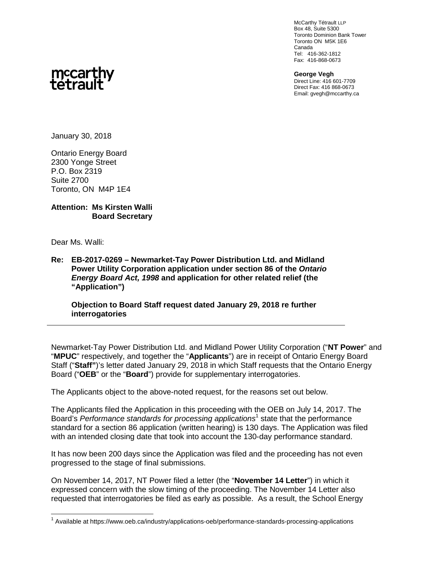McCarthy Tétrault LLP Box 48, Suite 5300 Toronto Dominion Bank Tower Toronto ON M5K 1E6 Canada Tel: 416-362-1812 Fax: 416-868-0673

**George Vegh** Direct Line: 416 601-7709 Direct Fax: 416 868-0673 Email: gvegh@mccarthy.ca



January 30, 2018

Ontario Energy Board 2300 Yonge Street P.O. Box 2319 Suite 2700 Toronto, ON M4P 1E4

## **Attention: Ms Kirsten Walli Board Secretary**

Dear Ms. Walli:

**Re: EB-2017-0269 – Newmarket-Tay Power Distribution Ltd. and Midland Power Utility Corporation application under section 86 of the** *Ontario Energy Board Act, 1998* **and application for other related relief (the "Application")**

**Objection to Board Staff request dated January 29, 2018 re further interrogatories**

Newmarket-Tay Power Distribution Ltd. and Midland Power Utility Corporation ("**NT Power**" and "**MPUC**" respectively, and together the "**Applicants**") are in receipt of Ontario Energy Board Staff ("**Staff"**)'s letter dated January 29, 2018 in which Staff requests that the Ontario Energy Board ("**OEB**" or the "**Board**") provide for supplementary interrogatories.

The Applicants object to the above-noted request, for the reasons set out below.

The Applicants filed the Application in this proceeding with the OEB on July 14, 2017. The Board's Performance standards for processing applications<sup>1</sup> state that the performance standard for a section 86 application (written hearing) is 130 days. The Application was filed with an intended closing date that took into account the 130-day performance standard.

It has now been 200 days since the Application was filed and the proceeding has not even progressed to the stage of final submissions.

On November 14, 2017, NT Power filed a letter (the "**November 14 Letter**") in which it expressed concern with the slow timing of the proceeding. The November 14 Letter also requested that interrogatories be filed as early as possible. As a result, the School Energy

<sup>&</sup>lt;sup>1</sup> Available at https://www.oeb.ca/industry/applications-oeb/performance-standards-processing-applications